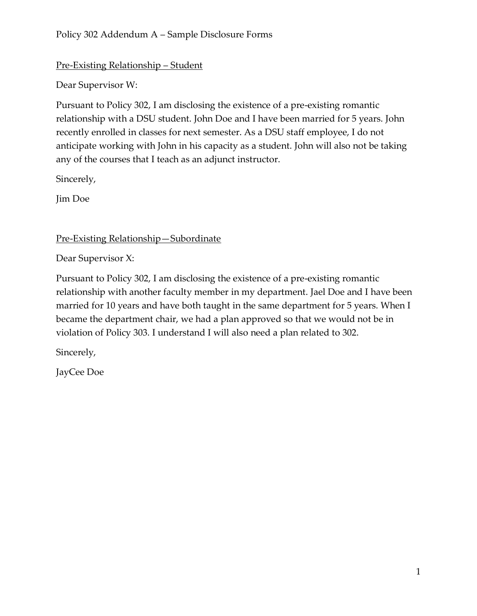## Pre-Existing Relationship – Student

Dear Supervisor W:

Pursuant to Policy 302, I am disclosing the existence of a pre-existing romantic relationship with a DSU student. John Doe and I have been married for 5 years. John recently enrolled in classes for next semester. As a DSU staff employee, I do not anticipate working with John in his capacity as a student. John will also not be taking any of the courses that I teach as an adjunct instructor.

Sincerely,

Jim Doe

Pre-Existing Relationship—Subordinate

Dear Supervisor X:

Pursuant to Policy 302, I am disclosing the existence of a pre-existing romantic relationship with another faculty member in my department. Jael Doe and I have been married for 10 years and have both taught in the same department for 5 years. When I became the department chair, we had a plan approved so that we would not be in violation of Policy 303. I understand I will also need a plan related to 302.

Sincerely,

JayCee Doe